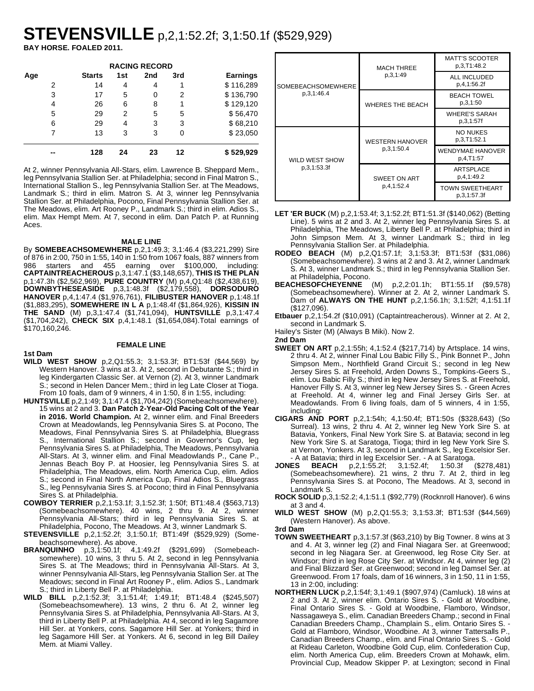# **STEVENSVILLE** p,2,1:52.2f; 3,1:50.1f (\$529,929)

**BAY HORSE. FOALED 2011.**

| <b>RACING RECORD</b> |               |     |                 |     |                 |  |
|----------------------|---------------|-----|-----------------|-----|-----------------|--|
| Age                  | <b>Starts</b> | 1st | 2 <sub>nd</sub> | 3rd | <b>Earnings</b> |  |
| 2                    | 14            | 4   | 4               |     | \$116,289       |  |
| 3                    | 17            | 5   | 0               | 2   | \$136,790       |  |
| 4                    | 26            | 6   | 8               | 1   | \$129,120       |  |
| 5                    | 29            | 2   | 5               | 5   | \$56,470        |  |
| 6                    | 29            | 4   | 3               | 3   | \$68,210        |  |
| 7                    | 13            | 3   | 3               | 0   | \$23,050        |  |
|                      | 128           | 24  | 23              | 12  | \$529,929       |  |

At 2, winner Pennsylvania All-Stars, elim. Lawrence B. Sheppard Mem., leg Pennsylvania Stallion Ser. at Philadelphia; second in Final Matron S., International Stallion S., leg Pennsylvania Stallion Ser. at The Meadows, Landmark S.; third in elim. Matron S. At 3, winner leg Pennsylvania Stallion Ser. at Philadelphia, Pocono, Final Pennsylvania Stallion Ser. at The Meadows, elim. Art Rooney P., Landmark S.; third in elim. Adios S., elim. Max Hempt Mem. At 7, second in elim. Dan Patch P. at Running Aces.

### **MALE LINE**

By **SOMEBEACHSOMEWHERE** p,2,1:49.3; 3,1:46.4 (\$3,221,299) Sire of 876 in 2:00, 750 in 1:55, 140 in 1:50 from 1067 foals, 887 winners from 986 starters and 455 earning over \$100,000, including: **CAPTAINTREACHEROUS** p,3,1:47.1 (\$3,148,657), **THIS IS THE PLAN** p,1:47.3h (\$2,562,969), **PURE COUNTRY** (M) p,4,Q1:48 (\$2,438,619), **DOWNBYTHESEASIDE** p,3,1:48.3f (\$2,179,558), **DORSODURO HANOVER** p,4,1:47.4 (\$1,976,761), **FILIBUSTER HANOVER** p,1:48.1f (\$1,883,295), **SOMEWHERE IN L A** p,1:48.4f (\$1,864,926), **KISSIN IN THE SAND** (M) p,3,1:47.4 (\$1,741,094), **HUNTSVILLE** p,3,1:47.4 (\$1,704,242), **CHECK SIX** p,4,1:48.1 (\$1,654,084).Total earnings of \$170,160,246.

### **FEMALE LINE**

**1st Dam**

- **WILD WEST SHOW** p,2,Q1:55.3; 3,1:53.3f; BT1:53f (\$44,569) by Western Hanover. 3 wins at 3. At 2, second in Debutante S.; third in leg Kindergarten Classic Ser. at Vernon (2). At 3, winner Landmark S.; second in Helen Dancer Mem.; third in leg Late Closer at Tioga. From 10 foals, dam of 9 winners, 4 in 1:50, 8 in 1:55, including:
- **HUNTSVILLE** p,2,1:49; 3,1:47.4 (\$1,704,242) (Somebeachsomewhere). 15 wins at 2 and 3. **Dan Patch 2-Year-Old Pacing Colt of the Year in 2016. World Champion.** At 2, winner elim. and Final Breeders Crown at Meadowlands, leg Pennsylvania Sires S. at Pocono, The Meadows, Final Pennsylvania Sires S. at Philadelphia, Bluegrass S., International Stallion S.; second in Governor's Cup, leg Pennsylvania Sires S. at Philadelphia, The Meadows, Pennsylvania All-Stars. At 3, winner elim. and Final Meadowlands P., Cane P., Jennas Beach Boy P. at Hoosier, leg Pennsylvania Sires S. at Philadelphia, The Meadows, elim. North America Cup, elim. Adios S.; second in Final North America Cup, Final Adios S., Bluegrass S., leg Pennsylvania Sires S. at Pocono; third in Final Pennsylvania Sires S. at Philadelphia.
- **COWBOY TERRIER** p,2,1:53.1f; 3,1:52.3f; 1:50f; BT1:48.4 (\$563,713) (Somebeachsomewhere). 40 wins, 2 thru 9. At 2, winner Pennsylvania All-Stars; third in leg Pennsylvania Sires S. at Philadelphia, Pocono, The Meadows. At 3, winner Landmark S.
- **STEVENSVILLE** p,2,1:52.2f; 3,1:50.1f; BT1:49f (\$529,929) (Somebeachsomewhere). As above.
- **BRANQUINHO** p,3,1:50.1f; 4,1:49.2f (\$291,699) (Somebeachsomewhere). 10 wins, 3 thru 5. At 2, second in leg Pennsylvania Sires S. at The Meadows; third in Pennsylvania All-Stars. At 3, winner Pennsylvania All-Stars, leg Pennsylvania Stallion Ser. at The Meadows; second in Final Art Rooney P., elim. Adios S., Landmark S.; third in Liberty Bell P. at Philadelphia.
- **WILD BILL** p,2,1:52.3f; 3,1:51.4f; 1:49.1f; BT1:48.4 (\$245,507) (Somebeachsomewhere). 13 wins, 2 thru 6. At 2, winner leg Pennsylvania Sires S. at Philadelphia, Pennsylvania All-Stars. At 3, third in Liberty Bell P. at Philadelphia. At 4, second in leg Sagamore Hill Ser. at Yonkers, cons. Sagamore Hill Ser. at Yonkers; third in leg Sagamore Hill Ser. at Yonkers. At 6, second in leg Bill Dailey Mem. at Miami Valley.

|                           | <b>MACH THREE</b>      | <b>MATT'S SCOOTER</b><br>p.3.T1:48.2  |
|---------------------------|------------------------|---------------------------------------|
| <b>SOMEBEACHSOMEWHERE</b> | p, 3, 1:49             | ALL INCLUDED<br>p.4.1:56.2f           |
| p, 3, 1:46.4              | WHERES THE BEACH       | <b>BEACH TOWEL</b><br>p, 3, 1:50      |
|                           |                        | <b>WHERE'S SARAH</b><br>p.3.1:57f     |
|                           | <b>WESTERN HANOVER</b> | NO NUKES<br>p.3.T1:52.1               |
| WILD WEST SHOW            | p, 3, 1:50.4           | <b>WENDYMAE HANOVER</b><br>p.4.T1:57  |
| p.3.1:53.3f               | SWEET ON ART           | <b>ARTSPLACE</b><br>p.4,1:49.2        |
|                           | p.4.1:52.4             | <b>TOWN SWEETHEART</b><br>p.3.1:57.3f |

- **LET 'ER BUCK** (M) p,2,1:53.4f; 3,1:52.2f; BT1:51.3f (\$140,062) (Betting Line). 5 wins at 2 and 3. At 2, winner leg Pennsylvania Sires S. at Philadelphia, The Meadows, Liberty Bell P. at Philadelphia; third in John Simpson Mem. At 3, winner Landmark S.; third in leg Pennsylvania Stallion Ser. at Philadelphia.
- **RODEO BEACH** (M) p,2,Q1:57.1f; 3,1:53.3f; BT1:53f (\$31,086) (Somebeachsomewhere). 3 wins at 2 and 3. At 2, winner Landmark S. At 3, winner Landmark S.; third in leg Pennsylvania Stallion Ser. at Philadelphia, Pocono.
- **BEACHESOFCHEYENNE** (M) p,2,2:01.1h; BT1:55.1f (\$9,578) (Somebeachsomewhere). Winner at 2. At 2, winner Landmark S. Dam of **ALWAYS ON THE HUNT** p,2,1:56.1h; 3,1:52f; 4,1:51.1f (\$127,096).
- **Etbauer** p,2,1:54.2f (\$10,091) (Captaintreacherous). Winner at 2. At 2, second in Landmark S.
- Hailey's Sister (M) (Always B Miki). Now 2.

**2nd Dam**

- **SWEET ON ART** p,2,1:55h; 4,1:52.4 (\$217,714) by Artsplace. 14 wins, 2 thru 4. At 2, winner Final Lou Babic Filly S., Pink Bonnet P., John Simpson Mem., Northfield Grand Circuit S.; second in leg New Jersey Sires S. at Freehold, Arden Downs S., Tompkins-Geers S., elim. Lou Babic Filly S.; third in leg New Jersey Sires S. at Freehold, Hanover Filly S. At 3, winner leg New Jersey Sires S. - Green Acres at Freehold. At 4, winner leg and Final Jersey Girls Ser. at Meadowlands. From 6 living foals, dam of 5 winners, 4 in 1:55, including:
- **CIGARS AND PORT** p,2,1:54h; 4,1:50.4f; BT1:50s (\$328,643) (So Surreal). 13 wins, 2 thru 4. At 2, winner leg New York Sire S. at Batavia, Yonkers, Final New York Sire S. at Batavia; second in leg New York Sire S. at Saratoga, Tioga; third in leg New York Sire S. at Vernon, Yonkers. At 3, second in Landmark S., leg Excelsior Ser.
- A at Batavia; third in leg Excelsior Ser. A at Saratoga.<br>**JONES BEACH** p,2,1:55.2f; 3,1:52.4f; 1:50.3f (\$278,481) **p**,2,1:55.2f; (Somebeachsomewhere). 21 wins, 2 thru 7. At 2, third in leg Pennsylvania Sires S. at Pocono, The Meadows. At 3, second in Landmark S.
- **ROCK SOLID** p,3,1:52.2; 4,1:51.1 (\$92,779) (Rocknroll Hanover). 6 wins at 3 and 4.
- **WILD WEST SHOW** (M) p,2,Q1:55.3; 3,1:53.3f; BT1:53f (\$44,569) (Western Hanover). As above.
- **3rd Dam**
- **TOWN SWEETHEART** p,3,1:57.3f (\$63,210) by Big Towner. 8 wins at 3 and 4. At 3, winner leg (2) and Final Niagara Ser. at Greenwood; second in leg Niagara Ser. at Greenwood, leg Rose City Ser. at Windsor; third in leg Rose City Ser. at Windsor. At 4, winner leg (2) and Final Blizzard Ser. at Greenwood; second in leg Damsel Ser. at Greenwood. From 17 foals, dam of 16 winners, 3 in 1:50, 11 in 1:55, 13 in 2:00, including:
- **NORTHERN LUCK** p,2,1:54f; 3,1:49.1 (\$907,974) (Camluck). 18 wins at 2 and 3. At 2, winner elim. Ontario Sires S. - Gold at Woodbine, Final Ontario Sires S. - Gold at Woodbine, Flamboro, Windsor, Nassagaweya S., elim. Canadian Breeders Champ.; second in Final Canadian Breeders Champ., Champlain S., elim. Ontario Sires S. - Gold at Flamboro, Windsor, Woodbine. At 3, winner Tattersalls P., Canadian Breeders Champ., elim. and Final Ontario Sires S. - Gold at Rideau Carleton, Woodbine Gold Cup, elim. Confederation Cup, elim. North America Cup, elim. Breeders Crown at Mohawk, elim. Provincial Cup, Meadow Skipper P. at Lexington; second in Final